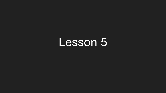### Lesson 5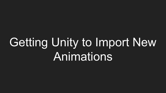# Getting Unity to Import New **Animations**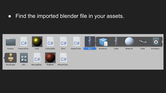#### ● Find the imported blender file in your assets.

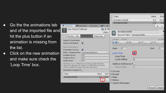- Go the the animations tab and of the imported file and hit the plus button if an animation is missing from the list.
- Click on the new animation and make sure check the 'Loop Time' box.

|                              | Services<br><b>O</b> Inspector<br>70 N                                                                                                                          | <b>O</b> Inspector                                   |
|------------------------------|-----------------------------------------------------------------------------------------------------------------------------------------------------------------|------------------------------------------------------|
| A                            | 同 ⊒ 卒,<br>Guy Import Settings<br>Open                                                                                                                           |                                                      |
| S١                           | Materials<br>Rig<br>Animation                                                                                                                                   | Model                                                |
| Length<br><b>a</b> 050       | $\checkmark$                                                                                                                                                    | <b>Import Constraints</b><br><b>Import Animation</b> |
| Start                        | $\blacktriangledown$                                                                                                                                            | <b>Bake Animations</b><br>Resample Curves            |
| Loop Ti                      | <b>Keyframe Reduction</b><br>÷                                                                                                                                  | Anim. Compression                                    |
| Loop                         | 0.5                                                                                                                                                             | <b>Rotation Error</b>                                |
| Cycl                         | 0.5                                                                                                                                                             | <b>Position Error</b>                                |
|                              | 0.5                                                                                                                                                             | Scale Error                                          |
| <b>Additiv</b><br>Pose       | Rotation error is defined as maximum angle deviation<br>allowed in degrees, for others it is defined as maximum<br>distance/delta deviation allowed in percents |                                                      |
| Curves                       |                                                                                                                                                                 | Animated Custom Pro                                  |
| $\blacktriangleright$ Events | End<br>Start                                                                                                                                                    | Clips                                                |
| $M$ ask                      | 16.0<br>0,0                                                                                                                                                     | Armature   Walk                                      |
| $\blacktriangleright$ Motion |                                                                                                                                                                 |                                                      |
| Import                       |                                                                                                                                                                 |                                                      |

| Armature   Walk<br>16.0<br>0.0<br>Armature Idle<br>0.0<br>1.0<br>÷<br>☆,<br>Armature   I dle<br>en<br>Source Take   Armature Idle<br>Length<br>0.042<br>24 FPS<br>$Q$ o $Q$ o<br>0:12<br>0:18<br>0:06<br>End<br>$\mathbf 1$<br>$\mathbf 0$<br>Start<br>$\ddot{\bullet}$<br>Loop Time<br>Loop Pose<br>$\mathbf 0$<br>Cycle Offset |
|----------------------------------------------------------------------------------------------------------------------------------------------------------------------------------------------------------------------------------------------------------------------------------------------------------------------------------|
|                                                                                                                                                                                                                                                                                                                                  |
|                                                                                                                                                                                                                                                                                                                                  |
|                                                                                                                                                                                                                                                                                                                                  |
|                                                                                                                                                                                                                                                                                                                                  |
|                                                                                                                                                                                                                                                                                                                                  |
|                                                                                                                                                                                                                                                                                                                                  |
|                                                                                                                                                                                                                                                                                                                                  |
|                                                                                                                                                                                                                                                                                                                                  |
|                                                                                                                                                                                                                                                                                                                                  |
|                                                                                                                                                                                                                                                                                                                                  |
|                                                                                                                                                                                                                                                                                                                                  |
| Additive Reference P                                                                                                                                                                                                                                                                                                             |
| Pose Frame<br>i0                                                                                                                                                                                                                                                                                                                 |
| $\triangleright$ Curves                                                                                                                                                                                                                                                                                                          |
| nd<br>$\blacktriangleright$ Events                                                                                                                                                                                                                                                                                               |
| 0,<br>Mask                                                                                                                                                                                                                                                                                                                       |
| Motion                                                                                                                                                                                                                                                                                                                           |
| Import Messages                                                                                                                                                                                                                                                                                                                  |
| Revert<br>Apply                                                                                                                                                                                                                                                                                                                  |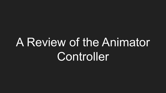# A Review of the Animator **Controller**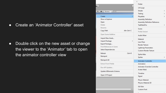● Create an 'Animator Controller' asset

• Double click on the new asset or change the viewer to the 'Animator' tab to open the animator controller view

|  |                                                                                                                                                                                       |                                                    | Folder                               |  |  |  |
|--|---------------------------------------------------------------------------------------------------------------------------------------------------------------------------------------|----------------------------------------------------|--------------------------------------|--|--|--|
|  |                                                                                                                                                                                       |                                                    | C# Script                            |  |  |  |
|  |                                                                                                                                                                                       |                                                    | Shader                               |  |  |  |
|  | $\left\langle \begin{array}{c c} \text{III} & \text{r} & \text{Gizmos} \end{array} \right.$ $\left[ \begin{array}{c c} \text{Q}^{\text{v}} \text{All} & \text{A} \end{array} \right]$ |                                                    | Testing                              |  |  |  |
|  | Create                                                                                                                                                                                | Y.                                                 | Playables                            |  |  |  |
|  | Show in Explorer                                                                                                                                                                      |                                                    | <b>Assembly Definition</b>           |  |  |  |
|  | Open                                                                                                                                                                                  |                                                    | <b>Assembly Definition Reference</b> |  |  |  |
|  | Delete                                                                                                                                                                                |                                                    | <b>TextMeshPro</b>                   |  |  |  |
|  | Rename                                                                                                                                                                                |                                                    | Scene                                |  |  |  |
|  | Copy Path                                                                                                                                                                             | Alt+Ctrl+C                                         | Prefab Variant                       |  |  |  |
|  | Open Scene Additive                                                                                                                                                                   | Audio Mixer                                        |                                      |  |  |  |
|  | Import New Asset                                                                                                                                                                      |                                                    | Material                             |  |  |  |
|  | Import Package                                                                                                                                                                        | $\rightarrow$                                      | Lens Flare                           |  |  |  |
|  | Export Package                                                                                                                                                                        | <b>Render Texture</b>                              |                                      |  |  |  |
|  | Find References In Scene                                                                                                                                                              |                                                    | Lightmap Parameters                  |  |  |  |
|  | Select Dependencies                                                                                                                                                                   |                                                    | <b>Custom Render Texture</b>         |  |  |  |
|  | Refresh                                                                                                                                                                               | $Ctrl + R$                                         | Sprite Atlas                         |  |  |  |
|  | Reimport                                                                                                                                                                              | Sprites                                            |                                      |  |  |  |
|  | Reimport All                                                                                                                                                                          |                                                    | <b>Animator Controller</b>           |  |  |  |
|  | <b>Extract From Prefab</b>                                                                                                                                                            |                                                    | Animation                            |  |  |  |
|  | Run API Updater                                                                                                                                                                       | Animator Override Controller<br><b>Avatar Mask</b> |                                      |  |  |  |
|  | Update UIEIements Schema                                                                                                                                                              |                                                    |                                      |  |  |  |
|  | Open C# Project                                                                                                                                                                       |                                                    | Timeline<br>Signal                   |  |  |  |
|  |                                                                                                                                                                                       |                                                    | <b>Physic Material</b>               |  |  |  |
|  |                                                                                                                                                                                       |                                                    | Physics Material 2D                  |  |  |  |
|  |                                                                                                                                                                                       |                                                    | <b>GUI Skin</b>                      |  |  |  |
|  |                                                                                                                                                                                       |                                                    | <b>Custom Font</b>                   |  |  |  |
|  |                                                                                                                                                                                       |                                                    |                                      |  |  |  |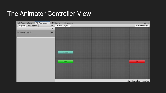#### The Animator Controller View

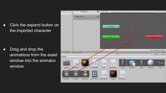• Click the expand button on the imported character

• Drag and drop the animations from the asset window into the animator window

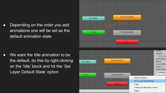• Depending on the order you add animations one will be set as the default animation state

• We want the Idle animation to be the default, do this by right clicking on the 'Idle' block and hit the 'Set Layer Default State' option

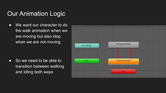### Our Animation Logic

● We want our character to do the walk animation when we are moving but also stop when we are not moving

• So we need to be able to transition between walking and idling both ways

![](_page_9_Figure_3.jpeg)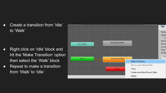• Create a transition from 'Idle' to 'Walk'

- Right click on 'Idle' block and hit the 'Make Transition' option then select the 'Walk' block
- Repeat to make a transition from 'Walk' to 'Idle'

![](_page_10_Figure_3.jpeg)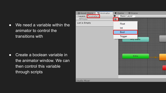• We need a variable within the animator to control the transitions with

• Create a boolean variable in the animator window. We can then control this variable through scripts

| ■ Asset Store ■ % Animator | # Scene<br>Game    |
|----------------------------|--------------------|
| Layers Parameters          | Ð<br>Base Layer    |
| Q <sup>*</sup> Name        | E)                 |
| List is Empty              | Float              |
|                            | Int                |
|                            | Bool               |
|                            | Trigger            |
|                            | Any State<br>Entry |
| † Audio Mixer              |                    |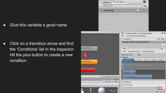• Give this variable a good name

• Click on a transition arrow and find the 'Conditions' list in the inspector. Hit the plus button to create a new condition

![](_page_12_Picture_2.jpeg)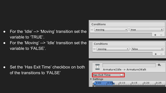- For the 'Idle' --> 'Moving' transition set the variable to 'TRUE'.
- For the 'Moving' --> 'Idle' transition set the variable to 'FALSE'.
- moving true ٠  $\bullet$ ÷ Conditions false moving ۰ 券. Armature|Idle -> Armature|Walk **Has Exit Time** Settings  $0:05$  $10:10$  $10:15$  $10:20$  $0:25$

Conditions

• Set the 'Has Exit Time' checkbox on both of the transitions to 'FALSE'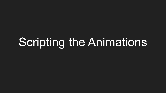## Scripting the Animations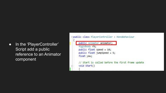● In the 'PlayerController' Script add a public reference to an Animator component

![](_page_15_Figure_1.jpeg)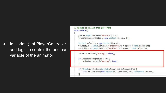• In Update() of PlayerController add logic to control the boolean variable of the animator

```
// Update is called once per frame
void Update()
   \text{Vaw} += Input.GetAxis("Mouse X") * 5;
   transform.eulerAngles = new Vector3(0, yaw, 0);
   Vector3 velocity = new Vector3(0,0,0);
   velocity.x = Input.GetAxis("Horizontal") * speed * Time.deltaTime;
   velocity.z = Input.GetAxis("Vertical") * speed * Time.deltaTime;
    animator.SetBool("moving", false);
    if (velocity.magnitude > \theta) {
        animator.SetBool("moving", true);
```
if (Input.GetKeyDown(KeyCode.Space) && isGrounded()) { this.rb.AddForce(new Vector3(0, jumpSpeed, 0), ForceMode.Impulse);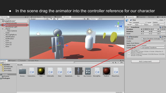#### • In the scene drag the animator into the controller reference for our character

![](_page_17_Figure_1.jpeg)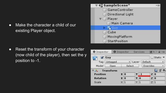• Make the character a child of our existing Player object.

![](_page_18_Figure_1.jpeg)

● Reset the transform of your character (now child of the player), then set the y position to -1.

| <b>O</b> Inspector |                  |         | Services<br><b>O</b> Inspector |                |              |          | $\rightarrow$ $\rightarrow$<br>52 N |                |  |  |
|--------------------|------------------|---------|--------------------------------|----------------|--------------|----------|-------------------------------------|----------------|--|--|
|                    | Guy              |         |                                |                |              |          |                                     | Static ▼       |  |  |
| Tag                | Untagged         | # Layer |                                |                | Default      |          |                                     |                |  |  |
| Model<br>Open      |                  |         | Select                         |                |              |          | Overrides                           |                |  |  |
|                    | <b>Transform</b> |         |                                |                |              |          |                                     |                |  |  |
| <b>Position</b>    |                  |         |                                | x <sub>0</sub> |              | $Y - 1$  |                                     | Z <sub>0</sub> |  |  |
| <b>Rotation</b>    |                  |         |                                | X <sub>0</sub> | $\mathbf{Y}$ | $\bf{0}$ |                                     | Z <sub>0</sub> |  |  |
| Scale              |                  |         |                                | $\times 1$     | Y            | 1        |                                     | $Z$ 1          |  |  |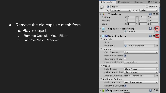- Remove the old capsule mesh from the Player object
	- Remove Capsule (Mesh Filter)
	- Remove Mesh Renderer

| <b>O</b> Inspector                              | <b>O</b> Inspector  |       | Services       | 74 N                |               |
|-------------------------------------------------|---------------------|-------|----------------|---------------------|---------------|
| Player                                          |                     |       |                | Static              |               |
| Untagged<br>Tag                                 | $\div$              | Layer | Default        |                     | ÷.            |
| <b>Transform</b>                                |                     |       |                | <b>R</b>            | 교 후,          |
| Position                                        | $\times 0$          | Ÿ     | 1.5            | z<br>$\Omega$       |               |
| Rotation                                        | X <sub>0</sub>      | Υ     | $\overline{0}$ | Z<br>$\overline{0}$ |               |
| Scale                                           | X <sub>1</sub>      | Υ     | $\overline{1}$ | $Z$ 1               |               |
| Capsule (Mesh Filter)<br>讲引                     |                     |       |                | ia.                 | 귀<br><b>K</b> |
| Mesh                                            | Capsule             |       |                |                     |               |
| Mesh Renderer                                   |                     |       |                | 胤                   |               |
| Materials                                       |                     |       |                |                     |               |
| Size                                            | $\mathbf{1}$        |       |                |                     |               |
| Element <sub>0</sub>                            | Default-Material    |       |                |                     | O             |
| Lighting                                        |                     |       |                |                     |               |
| Cast Shadows                                    | On                  |       |                |                     | ÷.            |
| Receive Shadows V                               |                     |       |                |                     |               |
| Contribute Global !                             |                     |       |                |                     |               |
| Receive Global Illu Light Probes                |                     |       |                |                     | ÷             |
| Probes                                          |                     |       |                |                     |               |
| Light Probes                                    | <b>Blend Probes</b> |       |                |                     | ŧ             |
| <b>Blend Probes</b><br><b>Reflection Probes</b> |                     |       |                |                     |               |
| Anchor Override                                 | None (Transform)    |       |                |                     |               |
| <b>Additional Settings</b>                      |                     |       |                |                     |               |
| <b>Motion Vectors</b>                           | Per Object Motion   |       |                |                     | ÷             |
| Dynamic Occlusion                               |                     |       |                |                     |               |
| Capsule Collider                                |                     |       |                | <b>P</b>            |               |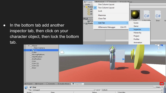• In the bottom tab add another inspector tab, then click on your character object, then lock the bottom tab.

Player

**Eliz Guy** 

**O** Project

L٢

 $\overline{\mathbf{z}}$ Guy

Model |

Tag Untagged

Cube

StartPosition EndPosition Coin  $Coin (1)$  $Coin (2)$ Door

![](_page_20_Picture_1.jpeg)